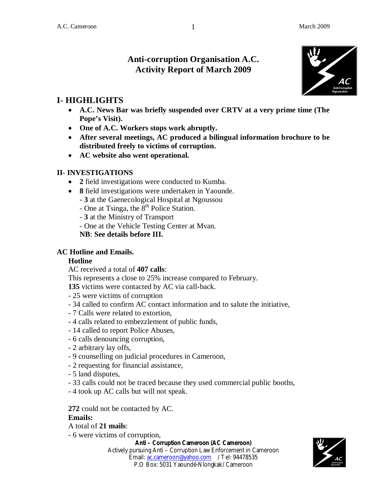# **Anti-corruption Organisation A.C. Activity Report of March 2009**



# **I- HIGHLIGHTS**

- **A.C. News Bar was briefly suspended over CRTV at a very prime time (The Pope's Visit).**
- **One of A.C. Workers stops work abruptly.**
- **After several meetings, AC produced a bilingual information brochure to be distributed freely to victims of corruption.**
- **AC website also went operational.**

### **II- INVESTIGATIONS**

- **2** field investigations were conducted to Kumba.
- **8** field investigations were undertaken in Yaounde.
	- **3** at the Gaenecological Hospital at Ngoussou
	- One at Tsinga, the  $8<sup>th</sup>$  Police Station.
	- **3** at the Ministry of Transport
	- One at the Vehicle Testing Center at Mvan.

**NB**: **See details before III.**

### **AC Hotline and Emails.**

### **Hotline**

AC received a total of **407 calls**:

This represents a close to 25% increase compared to February.

**135** victims were contacted by AC via call-back.

- 25 were victims of corruption
- 34 called to confirm AC contact information and to salute the initiative,
- 7 Calls were related to extortion,
- 4 calls related to embezzlement of public funds,
- 14 called to report Police Abuses,
- 6 calls denouncing corruption,
- 2 arbitrary lay offs,
- 9 counselling on judicial procedures in Cameroon,
- 2 requesting for financial assistance,
- 5 land disputes,
- 33 calls could not be traced because they used commercial public booths,
- 4 took up AC calls but will not speak.

**272** could not be contacted by AC.

### **Emails:**

A total of **21 mails**:

- 6 were victims of corruption,

**Anti – Corruption Cameroon (AC Cameroon)**

Actively pursuing Anti – Corruption Law Enforcement in Cameroon Email: ac.cameroon@yahoo.com / Tel: 94478535 P.O Box: 5031 Yaoundé-Nlongkak/ Cameroon



1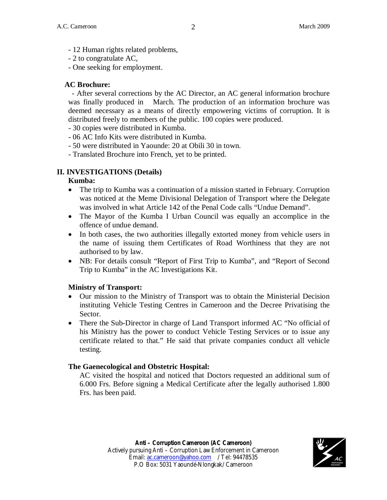- 12 Human rights related problems,
- 2 to congratulate AC,

- One seeking for employment.

#### **AC Brochure:**

- After several corrections by the AC Director, an AC general information brochure was finally produced in March. The production of an information brochure was deemed necessary as a means of directly empowering victims of corruption. It is distributed freely to members of the public. 100 copies were produced.

- 30 copies were distributed in Kumba.

- 06 AC Info Kits were distributed in Kumba.
- 50 were distributed in Yaounde: 20 at Obili 30 in town.
- Translated Brochure into French, yet to be printed.

### **II. INVESTIGATIONS (Details)**

#### **Kumba:**

- The trip to Kumba was a continuation of a mission started in February. Corruption was noticed at the Meme Divisional Delegation of Transport where the Delegate was involved in what Article 142 of the Penal Code calls "Undue Demand".
- The Mayor of the Kumba I Urban Council was equally an accomplice in the offence of undue demand.
- In both cases, the two authorities illegally extorted money from vehicle users in the name of issuing them Certificates of Road Worthiness that they are not authorised to by law.
- NB: For details consult "Report of First Trip to Kumba", and "Report of Second Trip to Kumba" in the AC Investigations Kit.

### **Ministry of Transport:**

- Our mission to the Ministry of Transport was to obtain the Ministerial Decision instituting Vehicle Testing Centres in Cameroon and the Decree Privatising the Sector.
- There the Sub-Director in charge of Land Transport informed AC "No official of his Ministry has the power to conduct Vehicle Testing Services or to issue any certificate related to that." He said that private companies conduct all vehicle testing.

### **The Gaenecological and Obstetric Hospital:**

AC visited the hospital and noticed that Doctors requested an additional sum of 6.000 Frs. Before signing a Medical Certificate after the legally authorised 1.800 Frs. has been paid.

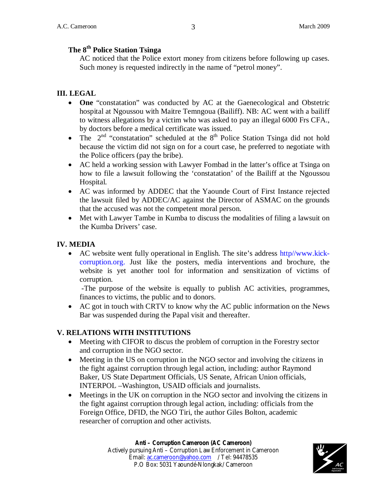## **The 8th Police Station Tsinga**

AC noticed that the Police extort money from citizens before following up cases. Such money is requested indirectly in the name of "petrol money".

### **III. LEGAL**

- **One** "constatation" was conducted by AC at the Gaenecological and Obstetric hospital at Ngoussou with Maitre Temngoua (Bailiff). NB: AC went with a bailiff to witness allegations by a victim who was asked to pay an illegal 6000 Frs CFA., by doctors before a medical certificate was issued.
- The  $2<sup>nd</sup>$  "constatation" scheduled at the  $8<sup>th</sup>$  Police Station Tsinga did not hold because the victim did not sign on for a court case, he preferred to negotiate with the Police officers (pay the bribe).
- AC held a working session with Lawyer Fombad in the latter's office at Tsinga on how to file a lawsuit following the 'constatation' of the Bailiff at the Ngoussou Hospital.
- AC was informed by ADDEC that the Yaounde Court of First Instance rejected the lawsuit filed by ADDEC/AC against the Director of ASMAC on the grounds that the accused was not the competent moral person.
- Met with Lawyer Tambe in Kumba to discuss the modalities of filing a lawsuit on the Kumba Drivers' case.

#### **IV. MEDIA**

 AC website went fully operational in English. The site's address http//www.kickcorruption.org. Just like the posters, media interventions and brochure, the website is yet another tool for information and sensitization of victims of corruption.

-The purpose of the website is equally to publish AC activities, programmes, finances to victims, the public and to donors.

 AC got in touch with CRTV to know why the AC public information on the News Bar was suspended during the Papal visit and thereafter.

#### **V. RELATIONS WITH INSTITUTIONS**

- Meeting with CIFOR to discus the problem of corruption in the Forestry sector and corruption in the NGO sector.
- Meeting in the US on corruption in the NGO sector and involving the citizens in the fight against corruption through legal action, including: author Raymond Baker, US State Department Officials, US Senate, African Union officials, INTERPOL –Washington, USAID officials and journalists.
- Meetings in the UK on corruption in the NGO sector and involving the citizens in the fight against corruption through legal action, including: officials from the Foreign Office, DFID, the NGO Tiri, the author Giles Bolton, academic researcher of corruption and other activists.

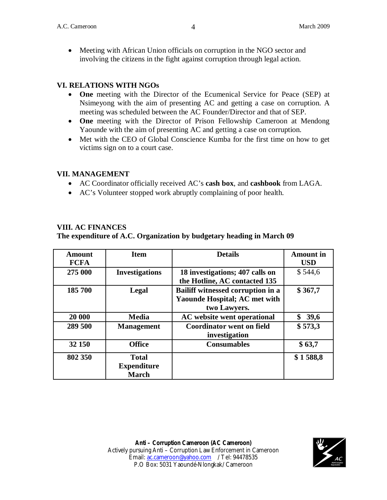Meeting with African Union officials on corruption in the NGO sector and involving the citizens in the fight against corruption through legal action.

### **VI. RELATIONS WITH NGOs**

- **One** meeting with the Director of the Ecumenical Service for Peace (SEP) at Nsimeyong with the aim of presenting AC and getting a case on corruption. A meeting was scheduled between the AC Founder/Director and that of SEP.
- **One** meeting with the Director of Prison Fellowship Cameroon at Mendong Yaounde with the aim of presenting AC and getting a case on corruption.
- Met with the CEO of Global Conscience Kumba for the first time on how to get victims sign on to a court case.

#### **VII. MANAGEMENT**

- AC Coordinator officially received AC's **cash box**, and **cashbook** from LAGA.
- AC's Volunteer stopped work abruptly complaining of poor health.

### **VIII. AC FINANCES**

#### **The expenditure of A.C. Organization by budgetary heading in March 09**

| <b>Amount</b><br><b>FCFA</b> | <b>Item</b>           | <b>Details</b>                                    | <b>Amount</b> in<br><b>USD</b> |
|------------------------------|-----------------------|---------------------------------------------------|--------------------------------|
| 275 000                      | <b>Investigations</b> | 18 investigations; 407 calls on                   | \$544,6                        |
|                              |                       | the Hotline, AC contacted 135                     |                                |
| 185 700                      | Legal                 | Bailiff witnessed corruption in a                 | \$367,7                        |
|                              |                       | <b>Yaounde Hospital; AC met with</b>              |                                |
|                              |                       | two Lawyers.                                      |                                |
| 20 000                       | <b>Media</b>          | <b>AC</b> website went operational                | 39,6                           |
| 289 500                      | <b>Management</b>     | <b>Coordinator went on field</b><br>investigation | \$573,3                        |
| 32 150                       | <b>Office</b>         | <b>Consumables</b>                                | \$63,7                         |
| 802 350                      | <b>Total</b>          |                                                   | \$1588,8                       |
|                              | <b>Expenditure</b>    |                                                   |                                |
|                              | <b>March</b>          |                                                   |                                |